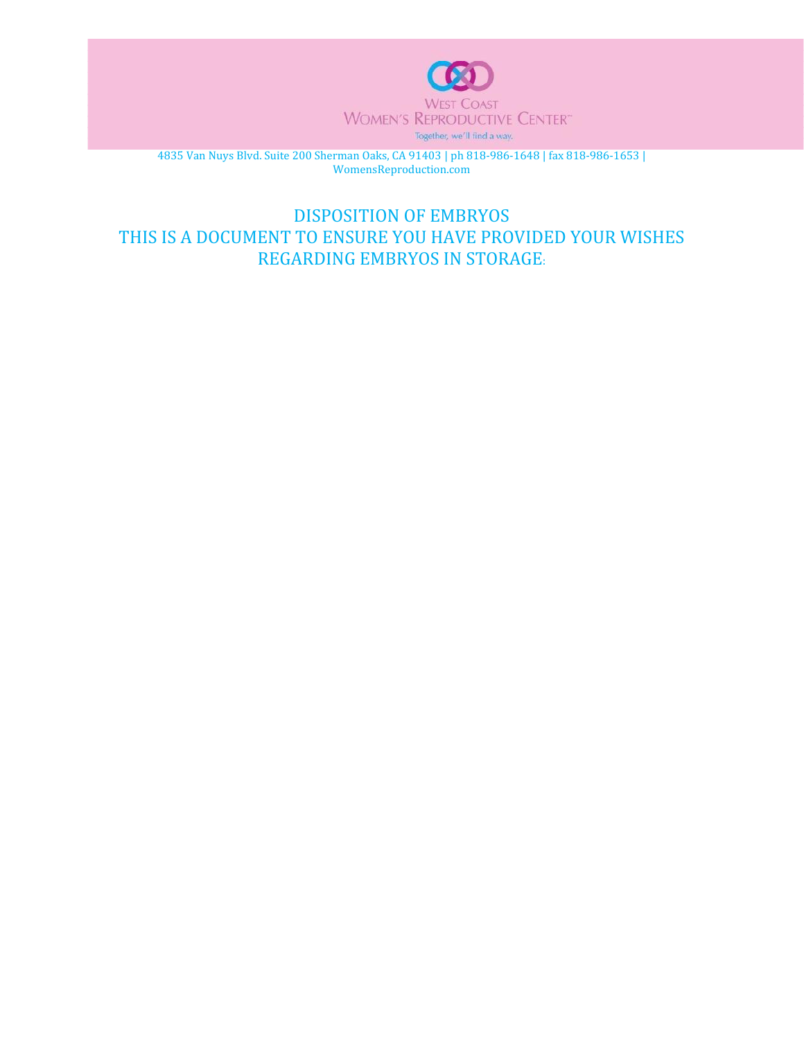

4835 Van Nuys Blvd. Suite 200 Sherman Oaks, CA 91403 | ph 818-986-1648 | fax 818-986-1653 | WomensReproduction.com

DISPOSITION OF EMBRYOS THIS IS A DOCUMENT TO ENSURE YOU HAVE PROVIDED YOUR WISHES REGARDING EMBRYOS IN STORAGE: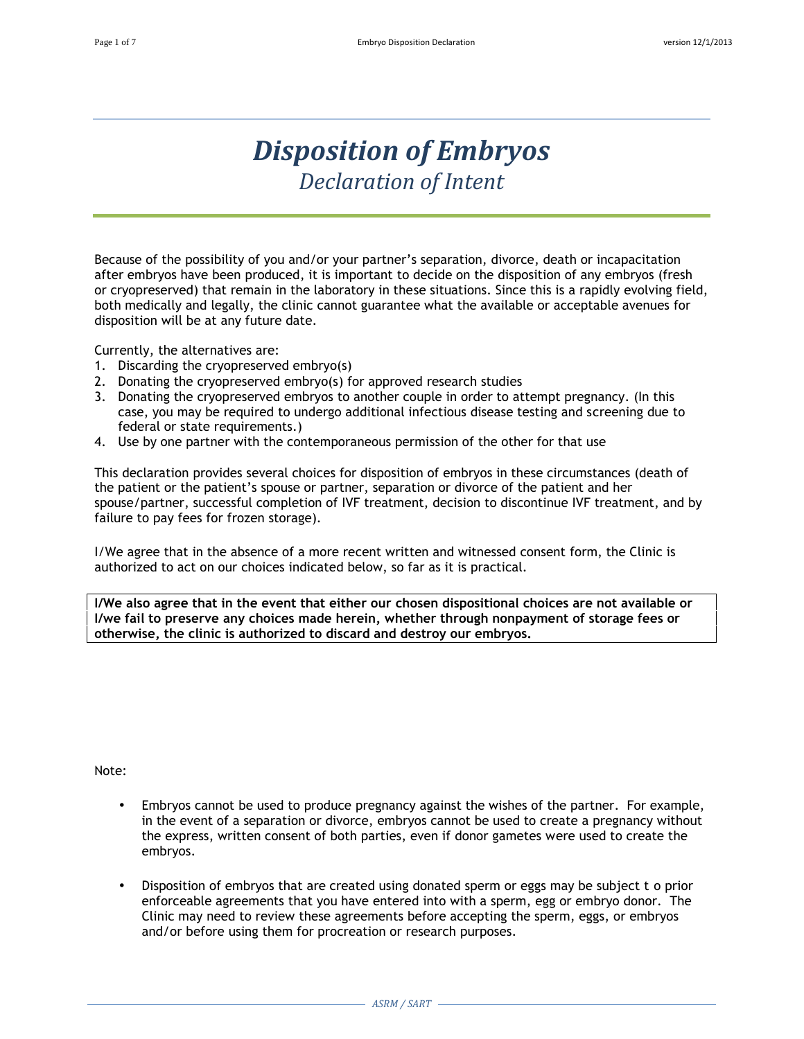# *Disposition of Embryos Declaration of Intent*

Because of the possibility of you and/or your partner's separation, divorce, death or incapacitation after embryos have been produced, it is important to decide on the disposition of any embryos (fresh or cryopreserved) that remain in the laboratory in these situations. Since this is a rapidly evolving field, both medically and legally, the clinic cannot guarantee what the available or acceptable avenues for disposition will be at any future date.

Currently, the alternatives are:

- 1. Discarding the cryopreserved embryo(s)
- 2. Donating the cryopreserved embryo(s) for approved research studies
- 3. Donating the cryopreserved embryos to another couple in order to attempt pregnancy. (In this case, you may be required to undergo additional infectious disease testing and screening due to federal or state requirements.)
- 4. Use by one partner with the contemporaneous permission of the other for that use

This declaration provides several choices for disposition of embryos in these circumstances (death of the patient or the patient's spouse or partner, separation or divorce of the patient and her spouse/partner, successful completion of IVF treatment, decision to discontinue IVF treatment, and by failure to pay fees for frozen storage).

I/We agree that in the absence of a more recent written and witnessed consent form, the Clinic is authorized to act on our choices indicated below, so far as it is practical.

**I/We also agree that in the event that either our chosen dispositional choices are not available or I/we fail to preserve any choices made herein, whether through nonpayment of storage fees or otherwise, the clinic is authorized to discard and destroy our embryos.**

#### Note:

- Embryos cannot be used to produce pregnancy against the wishes of the partner. For example, in the event of a separation or divorce, embryos cannot be used to create a pregnancy without the express, written consent of both parties, even if donor gametes were used to create the embryos.
- Disposition of embryos that are created using donated sperm or eggs may be subject t o prior enforceable agreements that you have entered into with a sperm, egg or embryo donor. The Clinic may need to review these agreements before accepting the sperm, eggs, or embryos and/or before using them for procreation or research purposes.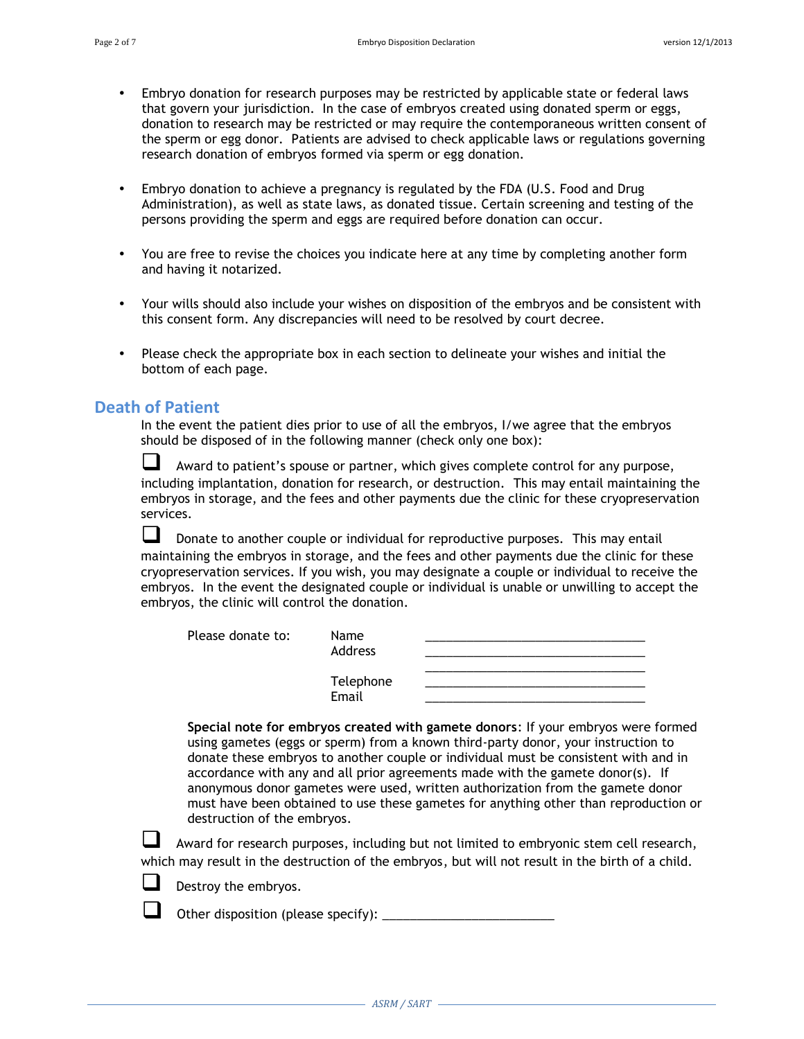- Embryo donation for research purposes may be restricted by applicable state or federal laws that govern your jurisdiction. In the case of embryos created using donated sperm or eggs, donation to research may be restricted or may require the contemporaneous written consent of the sperm or egg donor. Patients are advised to check applicable laws or regulations governing research donation of embryos formed via sperm or egg donation.
- Embryo donation to achieve a pregnancy is regulated by the FDA (U.S. Food and Drug Administration), as well as state laws, as donated tissue. Certain screening and testing of the persons providing the sperm and eggs are required before donation can occur.
- You are free to revise the choices you indicate here at any time by completing another form and having it notarized.
- Your wills should also include your wishes on disposition of the embryos and be consistent with this consent form. Any discrepancies will need to be resolved by court decree.
- Please check the appropriate box in each section to delineate your wishes and initial the bottom of each page.

#### **Death of Patient**

In the event the patient dies prior to use of all the embryos, I/we agree that the embryos should be disposed of in the following manner (check only one box):

 Award to patient's spouse or partner, which gives complete control for any purpose, including implantation, donation for research, or destruction. This may entail maintaining the embryos in storage, and the fees and other payments due the clinic for these cryopreservation services.

 $\Box$  Donate to another couple or individual for reproductive purposes. This may entail maintaining the embryos in storage, and the fees and other payments due the clinic for these cryopreservation services. If you wish, you may designate a couple or individual to receive the embryos. In the event the designated couple or individual is unable or unwilling to accept the embryos, the clinic will control the donation.

| Please donate to: | Name<br>Address    |  |
|-------------------|--------------------|--|
|                   | Telephone<br>Email |  |

**Special note for embryos created with gamete donors**: If your embryos were formed using gametes (eggs or sperm) from a known third-party donor, your instruction to donate these embryos to another couple or individual must be consistent with and in accordance with any and all prior agreements made with the gamete donor(s). If anonymous donor gametes were used, written authorization from the gamete donor must have been obtained to use these gametes for anything other than reproduction or destruction of the embryos.

 Award for research purposes, including but not limited to embryonic stem cell research, which may result in the destruction of the embryos, but will not result in the birth of a child.



Destroy the embryos.

Other disposition (please specify): \_\_\_\_\_\_\_\_\_\_\_\_\_\_\_\_\_\_\_\_\_\_\_\_\_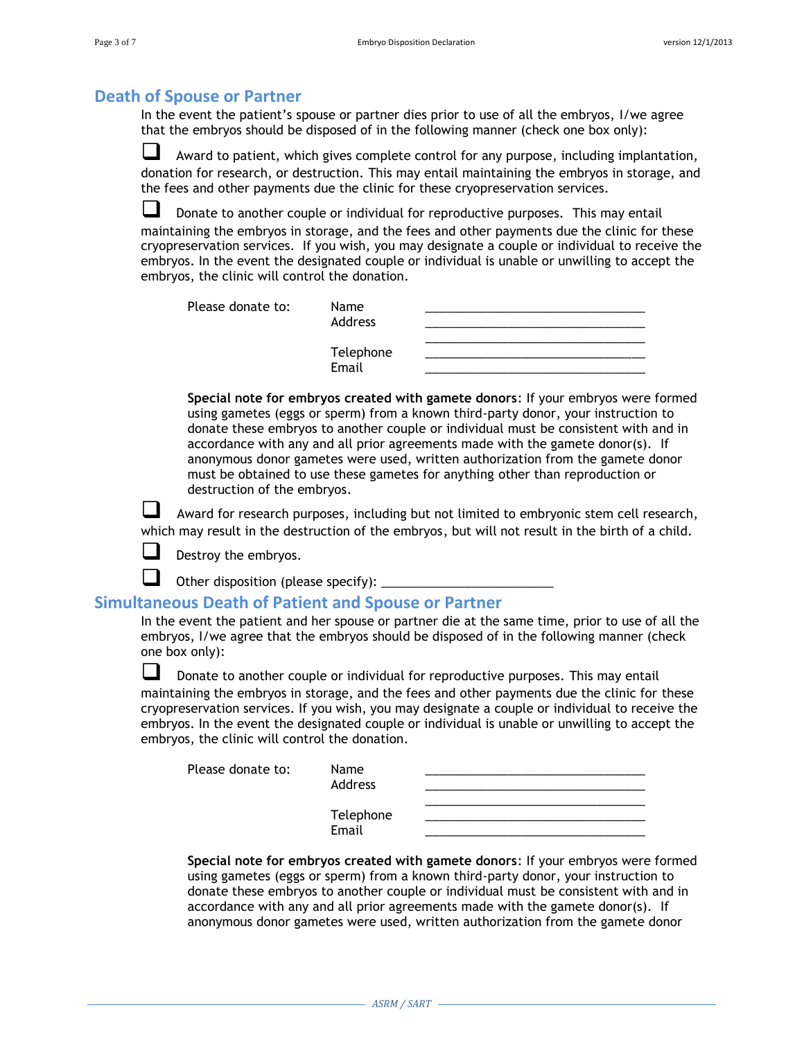#### **Death of Spouse or Partner**

In the event the patient's spouse or partner dies prior to use of all the embryos, I/we agree that the embryos should be disposed of in the following manner (check one box only):

 Award to patient, which gives complete control for any purpose, including implantation, donation for research, or destruction. This may entail maintaining the embryos in storage, and the fees and other payments due the clinic for these cryopreservation services.

Donate to another couple or individual for reproductive purposes. This may entail maintaining the embryos in storage, and the fees and other payments due the clinic for these cryopreservation services. If you wish, you may designate a couple or individual to receive the embryos. In the event the designated couple or individual is unable or unwilling to accept the embryos, the clinic will control the donation.

| Please donate to: | Name<br>Address    |  |
|-------------------|--------------------|--|
|                   | Telephone<br>Email |  |

**Special note for embryos created with gamete donors**: If your embryos were formed using gametes (eggs or sperm) from a known third-party donor, your instruction to donate these embryos to another couple or individual must be consistent with and in accordance with any and all prior agreements made with the gamete donor(s). If anonymous donor gametes were used, written authorization from the gamete donor must be obtained to use these gametes for anything other than reproduction or destruction of the embryos.

 Award for research purposes, including but not limited to embryonic stem cell research, which may result in the destruction of the embryos, but will not result in the birth of a child.



Destroy the embryos.

Other disposition (please specify):

#### **Simultaneous Death of Patient and Spouse or Partner**

In the event the patient and her spouse or partner die at the same time, prior to use of all the embryos, I/we agree that the embryos should be disposed of in the following manner (check one box only):

 Donate to another couple or individual for reproductive purposes. This may entail maintaining the embryos in storage, and the fees and other payments due the clinic for these cryopreservation services. If you wish, you may designate a couple or individual to receive the embryos. In the event the designated couple or individual is unable or unwilling to accept the embryos, the clinic will control the donation.

| Please donate to: | <b>Name</b><br>Address |  |
|-------------------|------------------------|--|
|                   | Telephone<br>Email     |  |

**Special note for embryos created with gamete donors**: If your embryos were formed using gametes (eggs or sperm) from a known third-party donor, your instruction to donate these embryos to another couple or individual must be consistent with and in accordance with any and all prior agreements made with the gamete donor(s). If anonymous donor gametes were used, written authorization from the gamete donor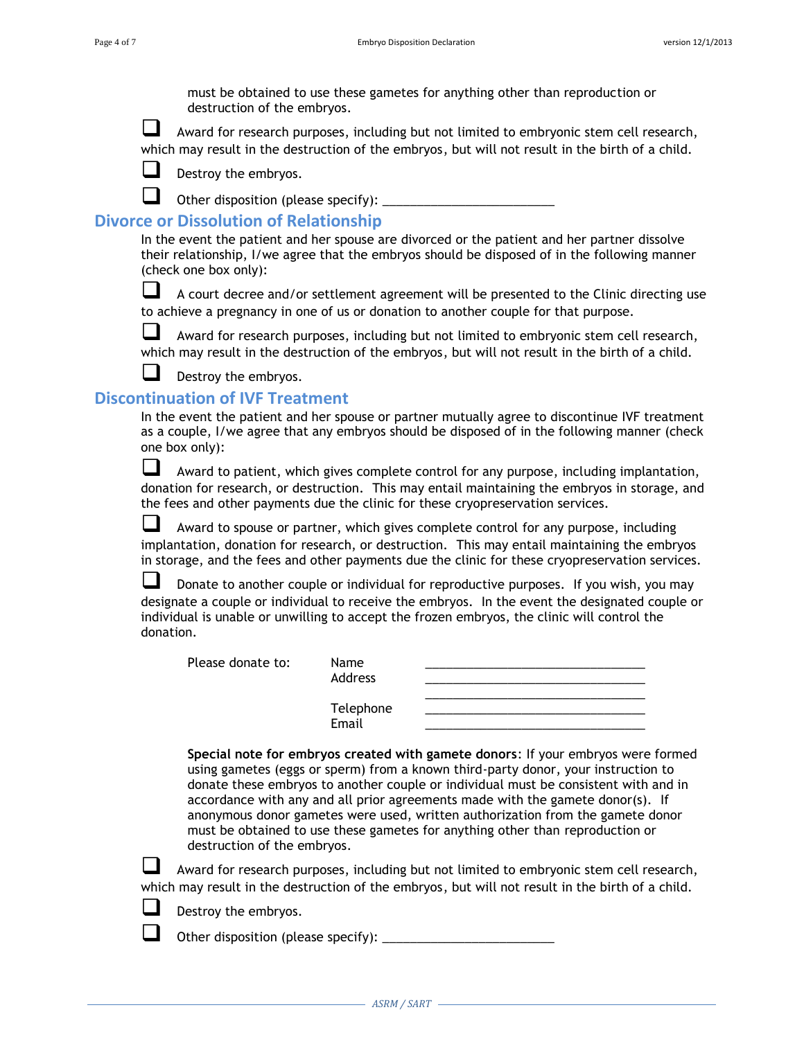must be obtained to use these gametes for anything other than reproduction or destruction of the embryos.

 Award for research purposes, including but not limited to embryonic stem cell research, which may result in the destruction of the embryos, but will not result in the birth of a child.



 $\Box$  Destroy the embryos.

Other disposition (please specify): \_\_\_\_\_\_\_\_\_\_\_\_\_\_\_\_\_\_\_\_\_\_\_\_\_

#### **Divorce or Dissolution of Relationship**

In the event the patient and her spouse are divorced or the patient and her partner dissolve their relationship, I/we agree that the embryos should be disposed of in the following manner (check one box only):

A court decree and/or settlement agreement will be presented to the Clinic directing use to achieve a pregnancy in one of us or donation to another couple for that purpose.

 Award for research purposes, including but not limited to embryonic stem cell research, which may result in the destruction of the embryos, but will not result in the birth of a child.



# $\Box$  Destroy the embryos.

#### **Discontinuation of IVF Treatment**

In the event the patient and her spouse or partner mutually agree to discontinue IVF treatment as a couple, I/we agree that any embryos should be disposed of in the following manner (check one box only):

 Award to patient, which gives complete control for any purpose, including implantation, donation for research, or destruction. This may entail maintaining the embryos in storage, and the fees and other payments due the clinic for these cryopreservation services.

 Award to spouse or partner, which gives complete control for any purpose, including implantation, donation for research, or destruction. This may entail maintaining the embryos in storage, and the fees and other payments due the clinic for these cryopreservation services.

 Donate to another couple or individual for reproductive purposes. If you wish, you may designate a couple or individual to receive the embryos. In the event the designated couple or individual is unable or unwilling to accept the frozen embryos, the clinic will control the donation.

Please donate to:

| <b>Name</b><br><b>Address</b> |  |
|-------------------------------|--|
| Telephone<br>Email            |  |

**Special note for embryos created with gamete donors**: If your embryos were formed using gametes (eggs or sperm) from a known third-party donor, your instruction to donate these embryos to another couple or individual must be consistent with and in accordance with any and all prior agreements made with the gamete donor(s). If anonymous donor gametes were used, written authorization from the gamete donor must be obtained to use these gametes for anything other than reproduction or destruction of the embryos.

 Award for research purposes, including but not limited to embryonic stem cell research, which may result in the destruction of the embryos, but will not result in the birth of a child.

Destroy the embryos.

Other disposition (please specify): \_\_\_\_\_\_\_\_\_\_\_\_\_\_\_\_\_\_\_\_\_\_\_\_\_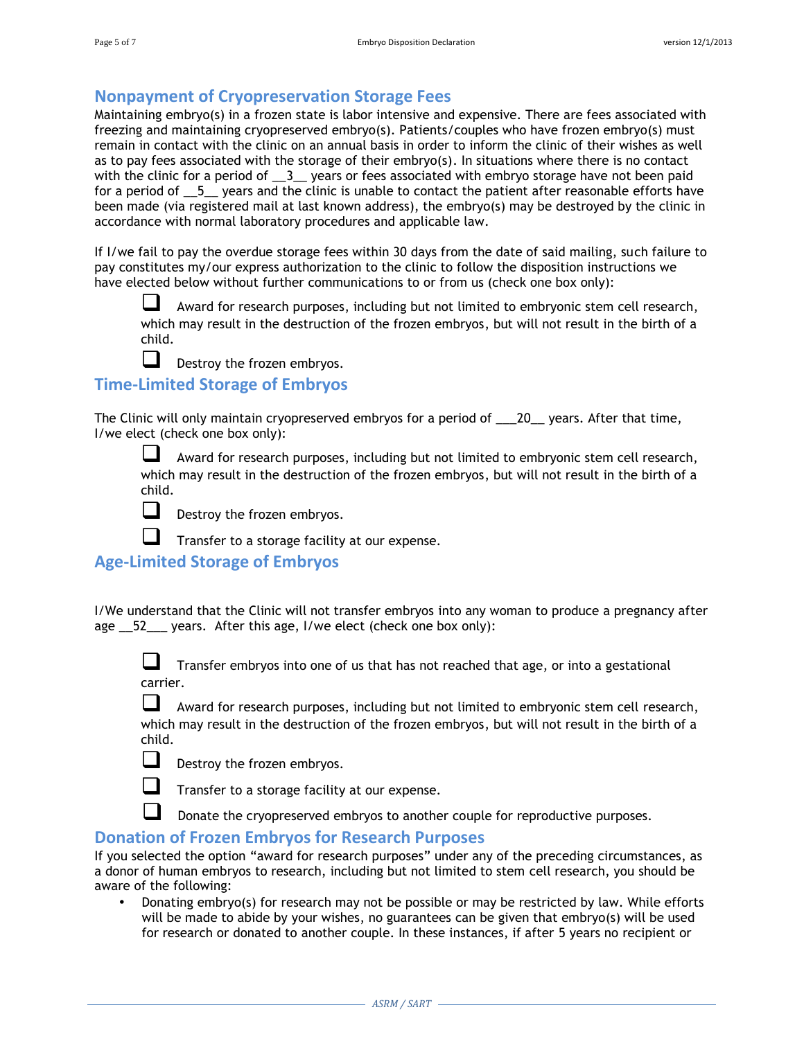## **Nonpayment of Cryopreservation Storage Fees**

Maintaining embryo(s) in a frozen state is labor intensive and expensive. There are fees associated with freezing and maintaining cryopreserved embryo(s). Patients/couples who have frozen embryo(s) must remain in contact with the clinic on an annual basis in order to inform the clinic of their wishes as well as to pay fees associated with the storage of their embryo(s). In situations where there is no contact with the clinic for a period of  $\frac{3}{2}$  years or fees associated with embryo storage have not been paid for a period of  $15$  years and the clinic is unable to contact the patient after reasonable efforts have been made (via registered mail at last known address), the embryo(s) may be destroyed by the clinic in accordance with normal laboratory procedures and applicable law.

If I/we fail to pay the overdue storage fees within 30 days from the date of said mailing, such failure to pay constitutes my/our express authorization to the clinic to follow the disposition instructions we have elected below without further communications to or from us (check one box only):

 Award for research purposes, including but not limited to embryonic stem cell research, which may result in the destruction of the frozen embryos, but will not result in the birth of a child.



### **Time-Limited Storage of Embryos**

The Clinic will only maintain cryopreserved embryos for a period of  $120$  years. After that time, I/we elect (check one box only):

 Award for research purposes, including but not limited to embryonic stem cell research, which may result in the destruction of the frozen embryos, but will not result in the birth of a child.



Destroy the frozen embryos.

Transfer to a storage facility at our expense.

#### **Age-Limited Storage of Embryos**

I/We understand that the Clinic will not transfer embryos into any woman to produce a pregnancy after age 52 years. After this age, I/we elect (check one box only):



 Transfer embryos into one of us that has not reached that age, or into a gestational carrier.

 Award for research purposes, including but not limited to embryonic stem cell research, which may result in the destruction of the frozen embryos, but will not result in the birth of a child.



 $\Box$  Destroy the frozen embryos.



Transfer to a storage facility at our expense.

D Donate the cryopreserved embryos to another couple for reproductive purposes.

#### **Donation of Frozen Embryos for Research Purposes**

If you selected the option "award for research purposes" under any of the preceding circumstances, as a donor of human embryos to research, including but not limited to stem cell research, you should be aware of the following:

 Donating embryo(s) for research may not be possible or may be restricted by law. While efforts will be made to abide by your wishes, no guarantees can be given that embryo(s) will be used for research or donated to another couple. In these instances, if after 5 years no recipient or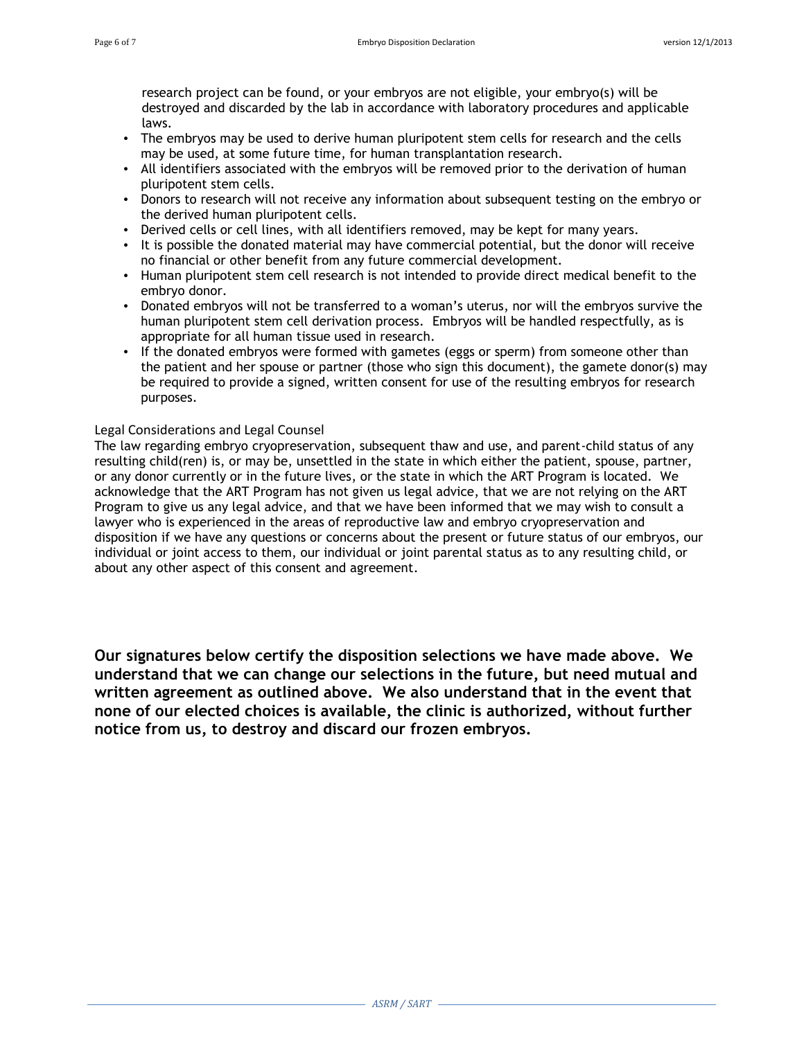research project can be found, or your embryos are not eligible, your embryo(s) will be destroyed and discarded by the lab in accordance with laboratory procedures and applicable laws.

- The embryos may be used to derive human pluripotent stem cells for research and the cells may be used, at some future time, for human transplantation research.
- All identifiers associated with the embryos will be removed prior to the derivation of human pluripotent stem cells.
- Donors to research will not receive any information about subsequent testing on the embryo or the derived human pluripotent cells.
- Derived cells or cell lines, with all identifiers removed, may be kept for many years.
- It is possible the donated material may have commercial potential, but the donor will receive no financial or other benefit from any future commercial development.
- Human pluripotent stem cell research is not intended to provide direct medical benefit to the embryo donor.
- Donated embryos will not be transferred to a woman's uterus, nor will the embryos survive the human pluripotent stem cell derivation process. Embryos will be handled respectfully, as is appropriate for all human tissue used in research.
- If the donated embryos were formed with gametes (eggs or sperm) from someone other than the patient and her spouse or partner (those who sign this document), the gamete donor(s) may be required to provide a signed, written consent for use of the resulting embryos for research purposes.

#### Legal Considerations and Legal Counsel

The law regarding embryo cryopreservation, subsequent thaw and use, and parent-child status of any resulting child(ren) is, or may be, unsettled in the state in which either the patient, spouse, partner, or any donor currently or in the future lives, or the state in which the ART Program is located. We acknowledge that the ART Program has not given us legal advice, that we are not relying on the ART Program to give us any legal advice, and that we have been informed that we may wish to consult a lawyer who is experienced in the areas of reproductive law and embryo cryopreservation and disposition if we have any questions or concerns about the present or future status of our embryos, our individual or joint access to them, our individual or joint parental status as to any resulting child, or about any other aspect of this consent and agreement.

**Our signatures below certify the disposition selections we have made above. We understand that we can change our selections in the future, but need mutual and written agreement as outlined above. We also understand that in the event that none of our elected choices is available, the clinic is authorized, without further notice from us, to destroy and discard our frozen embryos.**